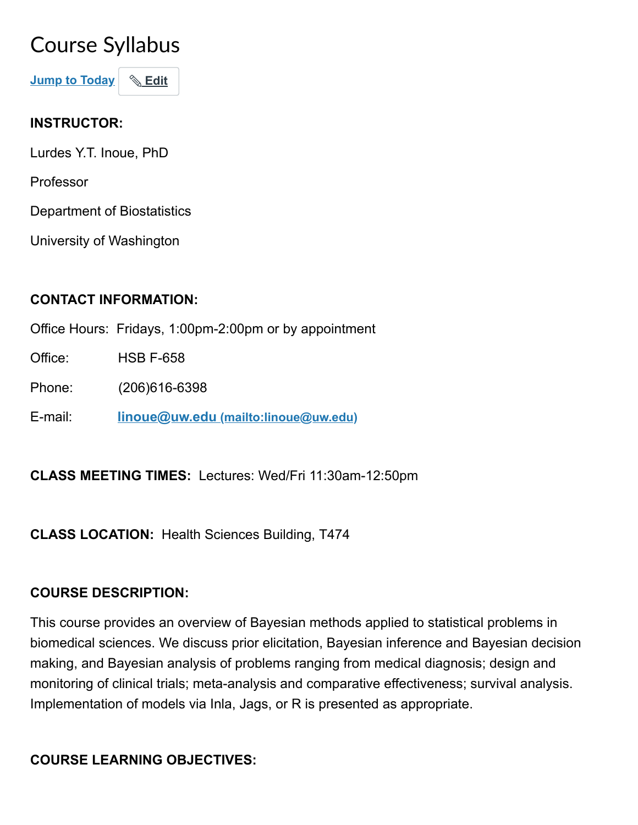# Course Syllabus

Jump to Today | & Edit

## INSTRUCTOR:

Lurdes Y.T. Inoue, PhD

Professor

Department of Biostatistics

University of Washington

# CONTACT INFORMATION:

Office Hours: Fridays, 1:00pm-2:00pm or by appointment

Office: HSB F-658

Phone: (206)616-6398

E-mail: linoue@uw.edu [\(mailto:linoue@uw.edu\)](mailto:linoue@uw.edu)

CLASS MEETING TIMES: Lectures: Wed/Fri 11:30am-12:50pm

CLASS LOCATION: Health Sciences Building, T474

# COURSE DESCRIPTION:

This course provides an overview of Bayesian methods applied to statistical problems in biomedical sciences. We discuss prior elicitation, Bayesian inference and Bayesian decision making, and Bayesian analysis of problems ranging from medical diagnosis; design and monitoring of clinical trials; meta-analysis and comparative effectiveness; survival analysis. Implementation of models via Inla, Jags, or R is presented as appropriate.

# COURSE LEARNING OBJECTIVES: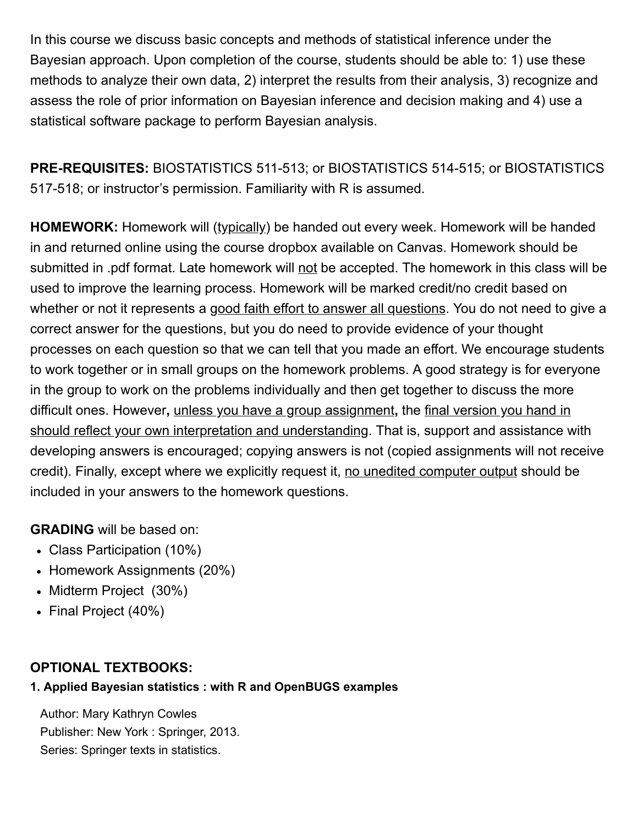In this course we discuss basic concepts and methods of statistical inference under the Bayesian approach. Upon completion of the course, students should be able to: 1) use these methods to analyze their own data, 2) interpret the results from their analysis, 3) recognize and assess the role of prior information on Bayesian inference and decision making and 4) use a statistical software package to perform Bayesian analysis.

PRE-REQUISITES: BIOSTATISTICS 511-513; or BIOSTATISTICS 514-515; or BIOSTATISTICS 517-518; or instructor's permission. Familiarity with R is assumed.

HOMEWORK: Homework will (typically) be handed out every week. Homework will be handed in and returned online using the course dropbox available on Canvas. Homework should be submitted in .pdf format. Late homework will not be accepted. The homework in this class will be used to improve the learning process. Homework will be marked credit/no credit based on whether or not it represents a good faith effort to answer all questions. You do not need to give a correct answer for the questions, but you do need to provide evidence of your thought processes on each question so that we can tell that you made an effort. We encourage students to work together or in small groups on the homework problems. A good strategy is for everyone in the group to work on the problems individually and then get together to discuss the more difficult ones. However, unless you have a group assignment, the final version you hand in should reflect your own interpretation and understanding. That is, support and assistance with developing answers is encouraged; copying answers is not (copied assignments will not receive credit). Finally, except where we explicitly request it, no unedited computer output should be included in your answers to the homework questions.

### GRADING will be based on:

- Class Participation (10%)
- Homework Assignments (20%)
- Midterm Project (30%)
- Final Project (40%)

### OPTIONAL TEXTBOOKS:

#### 1. Applied Bayesian statistics : with R and OpenBUGS examples

 Author: Mary Kathryn Cowles Publisher: New York : Springer, 2013. Series: Springer texts in statistics.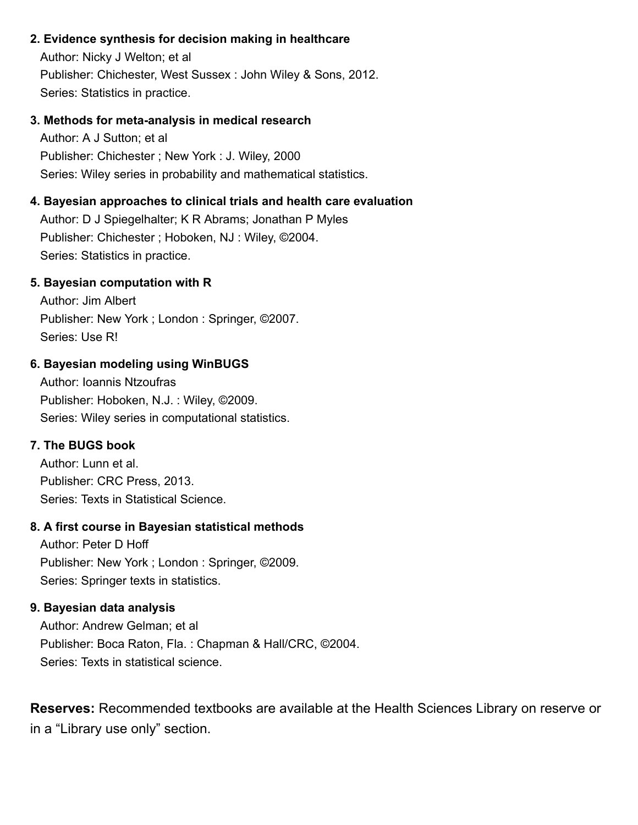#### 2. Evidence synthesis for decision making in healthcare

 Author: Nicky J Welton; et al Publisher: Chichester, West Sussex : John Wiley & Sons, 2012. Series: Statistics in practice.

#### 3. Methods for meta-analysis in medical research

 Author: A J Sutton; et al Publisher: Chichester ; New York : J. Wiley, 2000 Series: Wiley series in probability and mathematical statistics.

#### 4. Bayesian approaches to clinical trials and health care evaluation

 Author: D J Spiegelhalter; K R Abrams; Jonathan P Myles Publisher: Chichester ; Hoboken, NJ : Wiley, ©2004. Series: Statistics in practice.

#### 5. Bayesian computation with R

 Author: Jim Albert Publisher: New York ; London : Springer, ©2007. Series: Use R!

#### 6. Bayesian modeling using WinBUGS

 Author: Ioannis Ntzoufras Publisher: Hoboken, N.J. : Wiley, ©2009. Series: Wiley series in computational statistics.

#### 7. The BUGS book

 Author: Lunn et al. Publisher: CRC Press, 2013. Series: Texts in Statistical Science.

#### 8. A first course in Bayesian statistical methods

 Author: Peter D Hoff Publisher: New York ; London : Springer, ©2009. Series: Springer texts in statistics.

#### 9. Bayesian data analysis

 Author: Andrew Gelman; et al Publisher: Boca Raton, Fla. : Chapman & Hall/CRC, ©2004. Series: Texts in statistical science.

Reserves: Recommended textbooks are available at the Health Sciences Library on reserve or in a "Library use only" section.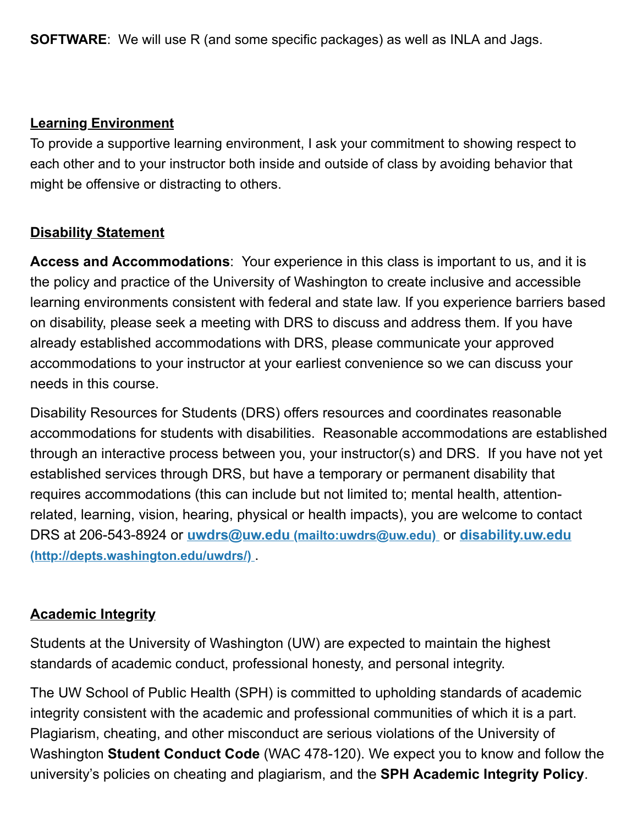SOFTWARE: We will use R (and some specific packages) as well as INLA and Jags.

## Learning Environment

To provide a supportive learning environment, I ask your commitment to showing respect to each other and to your instructor both inside and outside of class by avoiding behavior that might be offensive or distracting to others.

# **Disability Statement**

Access and Accommodations: Your experience in this class is important to us, and it is the policy and practice of the University of Washington to create inclusive and accessible learning environments consistent with federal and state law. If you experience barriers based on disability, please seek a meeting with DRS to discuss and address them. If you have already established accommodations with DRS, please communicate your approved accommodations to your instructor at your earliest convenience so we can discuss your needs in this course.

Disability Resources for Students (DRS) offers resources and coordinates reasonable accommodations for students with disabilities. Reasonable accommodations are established through an interactive process between you, your instructor(s) and DRS. If you have not yet established services through DRS, but have a temporary or permanent disability that requires accommodations (this can include but not limited to; mental health, attentionrelated, learning, vision, hearing, physical or health impacts), you are welcome to contact DRS at 206-543-8924 or uwdrs@uw.edu [\(mailto:uwdrs@uw.edu\)](mailto:uwdrs@uw.edu) or disability.uw.edu [\(http://depts.washington.edu/uwdrs/\)](http://depts.washington.edu/uwdrs/) .

# Academic Integrity

Students at the University of Washington (UW) are expected to maintain the highest standards of academic conduct, professional honesty, and personal integrity.

The UW School of Public Health (SPH) is committed to upholding standards of academic integrity consistent with the academic and professional communities of which it is a part. Plagiarism, cheating, and other misconduct are serious violations of the University of Washington **Student Conduct Code** (WAC 478-120). We expect you to know and follow the university's policies on cheating and plagiarism, and the SPH Academic Integrity Policy.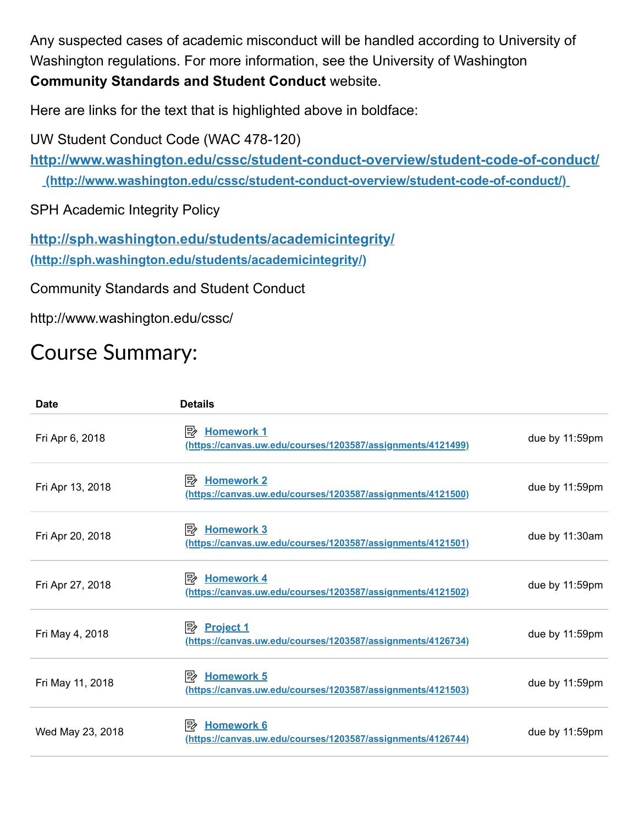Any suspected cases of academic misconduct will be handled according to University of Washington regulations. For more information, see the University of Washington Community Standards and Student Conduct website.

Here are links for the text that is highlighted above in boldface:

UW Student Conduct Code (WAC 478-120)

<http://www.washington.edu/cssc/student-conduct-overview/student-code-of-conduct/> (http://www.washington.edu/cssc/student-conduct-overview/student-code-of-conduct/)

SPH Academic Integrity Policy

<http://sph.washington.edu/students/academicintegrity/> (http://sph.washington.edu/students/academicintegrity/)

Community Standards and Student Conduct

http://www.washington.edu/cssc/

# Course Summary:

| Date             | <b>Details</b>                                                                          |                |
|------------------|-----------------------------------------------------------------------------------------|----------------|
| Fri Apr 6, 2018  | <b>Homework 1</b><br>י ⊮<br>(https://canvas.uw.edu/courses/1203587/assignments/4121499) | due by 11:59pm |
| Fri Apr 13, 2018 | <b>Homework 2</b><br>眇<br>(https://canvas.uw.edu/courses/1203587/assignments/4121500)   | due by 11:59pm |
| Fri Apr 20, 2018 | $\mathbb{R}$ Homework 3<br>(https://canvas.uw.edu/courses/1203587/assignments/4121501)  | due by 11:30am |
| Fri Apr 27, 2018 | $\mathbb{R}$ Homework 4<br>(https://canvas.uw.edu/courses/1203587/assignments/4121502)  | due by 11:59pm |
| Fri May 4, 2018  | <b>Project 1</b><br>⊯<br>(https://canvas.uw.edu/courses/1203587/assignments/4126734)    | due by 11:59pm |
| Fri May 11, 2018 | 勖<br><b>Homework 5</b><br>(https://canvas.uw.edu/courses/1203587/assignments/4121503)   | due by 11:59pm |
| Wed May 23, 2018 | 眇<br><b>Homework 6</b><br>(https://canvas.uw.edu/courses/1203587/assignments/4126744)   | due by 11:59pm |